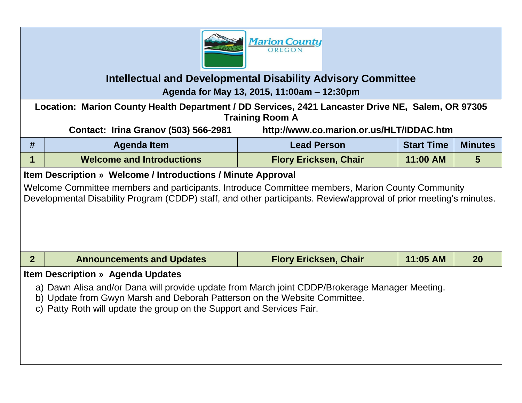

## **Intellectual and Developmental Disability Advisory Committee**

**Agenda for May 13, 2015, 11:00am – 12:30pm**

**Location: Marion County Health Department / DD Services, 2421 Lancaster Drive NE, Salem, OR 97305 Training Room A**

**Contact: Irina Granov (503) 566-2981 http://www.co.marion.or.us/HLT/IDDAC.htm**

| Agenda Item                      | <b>Lead Person</b>           | <b>Start Time</b> | <b>Minutes</b> |
|----------------------------------|------------------------------|-------------------|----------------|
| <b>Welcome and Introductions</b> | <b>Flory Ericksen, Chair</b> | $11:00$ AM        |                |

## **Item Description » Welcome / Introductions / Minute Approval**

Welcome Committee members and participants. Introduce Committee members, Marion County Community Developmental Disability Program (CDDP) staff, and other participants. Review/approval of prior meeting's minutes.

**2 Announcements and Updates Flory Ericksen, Chair 11:05 AM 20**

## **Item Description » Agenda Updates**

- a) Dawn Alisa and/or Dana will provide update from March joint CDDP/Brokerage Manager Meeting.
- b) Update from Gwyn Marsh and Deborah Patterson on the Website Committee.
- c) Patty Roth will update the group on the Support and Services Fair.